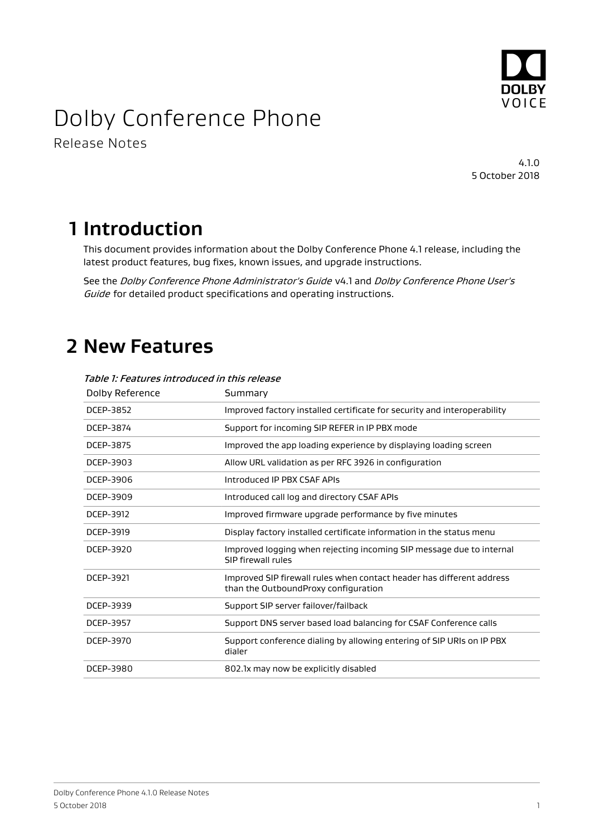

# Dolby Conference Phone

Release Notes

4.1.0 5 October 2018

## **1 Introduction**

This document provides information about the Dolby Conference Phone 4.1 release, including the latest product features, bug fixes, known issues, and upgrade instructions.

See the Dolby Conference Phone Administrator's Guide v4.1 and Dolby Conference Phone User's Guide for detailed product specifications and operating instructions.

# **2 New Features**

| Dolby Reference | Summary                                                                                                       |  |  |
|-----------------|---------------------------------------------------------------------------------------------------------------|--|--|
| DCEP-3852       | Improved factory installed certificate for security and interoperability                                      |  |  |
| DCEP-3874       | Support for incoming SIP REFER in IP PBX mode                                                                 |  |  |
| DCEP-3875       | Improved the app loading experience by displaying loading screen                                              |  |  |
| DCEP-3903       | Allow URL validation as per RFC 3926 in configuration                                                         |  |  |
| DCEP-3906       | Introduced IP PBX CSAF APIs                                                                                   |  |  |
| DCEP-3909       | Introduced call log and directory CSAF APIs                                                                   |  |  |
| DCEP-3912       | Improved firmware upgrade performance by five minutes                                                         |  |  |
| DCEP-3919       | Display factory installed certificate information in the status menu                                          |  |  |
| DCEP-3920       | Improved logging when rejecting incoming SIP message due to internal<br>SIP firewall rules                    |  |  |
| DCEP-3921       | Improved SIP firewall rules when contact header has different address<br>than the OutboundProxy configuration |  |  |
| DCEP-3939       | Support SIP server failover/failback                                                                          |  |  |
| DCEP-3957       | Support DNS server based load balancing for CSAF Conference calls                                             |  |  |
| DCEP-3970       | Support conference dialing by allowing entering of SIP URIs on IP PBX<br>dialer                               |  |  |
| DCEP-3980       | 802.1x may now be explicitly disabled                                                                         |  |  |

Table 1: Features introduced in this release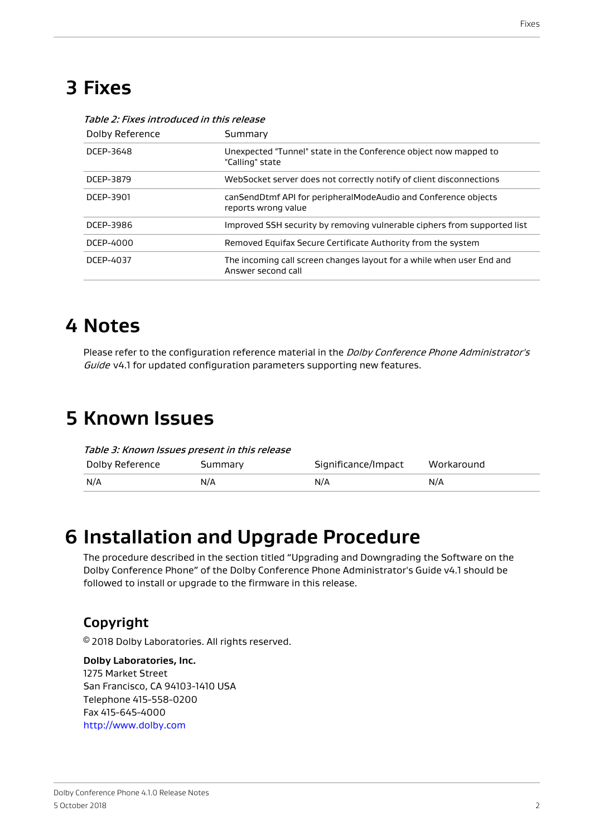### **3 Fixes**

| Dolby Reference | Summary                                                                                     |  |  |
|-----------------|---------------------------------------------------------------------------------------------|--|--|
| DCEP-3648       | Unexpected "Tunnel" state in the Conference object now mapped to<br>"Calling" state         |  |  |
| DCEP-3879       | WebSocket server does not correctly notify of client disconnections                         |  |  |
| DCEP-3901       | canSendDtmf API for peripheralModeAudio and Conference objects<br>reports wrong value       |  |  |
| DCEP-3986       | Improved SSH security by removing vulnerable ciphers from supported list                    |  |  |
| DCEP-4000       | Removed Equifax Secure Certificate Authority from the system                                |  |  |
| DCEP-4037       | The incoming call screen changes layout for a while when user End and<br>Answer second call |  |  |

#### Table 2: Fixes introduced in this release

#### **4 Notes**

Please refer to the configuration reference material in the Dolby Conference Phone Administrator's Guide v4.1 for updated configuration parameters supporting new features.

### **5 Known Issues**

| Table 3: Known Issues present in this release |         |                     |            |  |  |
|-----------------------------------------------|---------|---------------------|------------|--|--|
| Dolby Reference                               | Summary | Significance/Impact | Workaround |  |  |
| N/A                                           | N/A     | N/A                 | N/A        |  |  |

### **6 Installation and Upgrade Procedure**

The procedure described in the section titled "Upgrading and Downgrading the Software on the Dolby Conference Phone" of the Dolby Conference Phone Administrator's Guide v4.1 should be followed to install or upgrade to the firmware in this release.

#### **Copyright**

© 2018 Dolby Laboratories. All rights reserved.

#### **Dolby Laboratories, Inc.**

1275 Market Street San Francisco, CA 94103-1410 USA Telephone 415-558-0200 Fax 415-645-4000 <http://www.dolby.com>